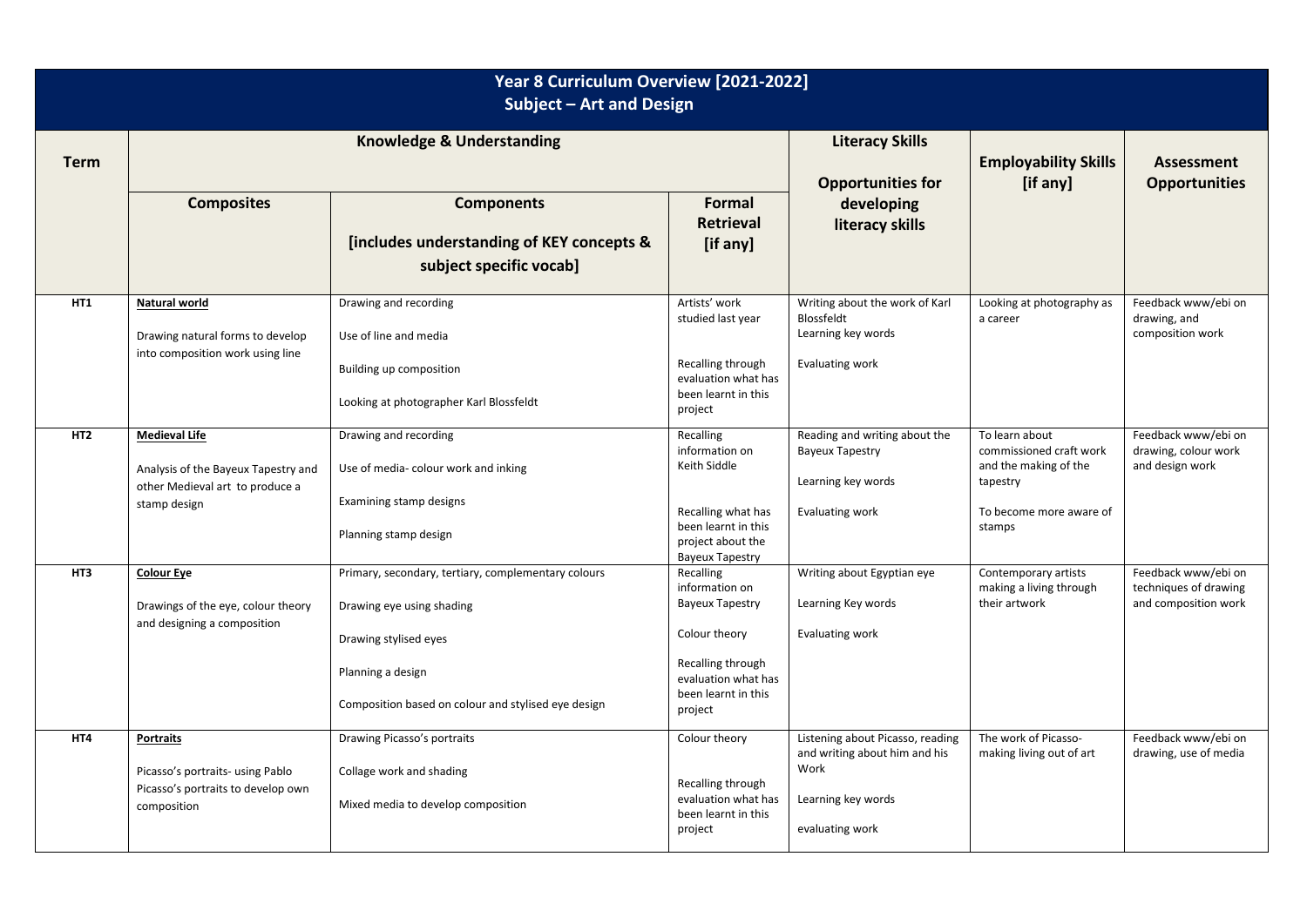| Year 8 Curriculum Overview [2021-2022]<br>Subject - Art and Design |                                                                                                                |                                                                                                                                                                                       |                                                                                                                                                      |                                                                                                                    |                                                                                                                     |                                                                      |  |  |  |  |
|--------------------------------------------------------------------|----------------------------------------------------------------------------------------------------------------|---------------------------------------------------------------------------------------------------------------------------------------------------------------------------------------|------------------------------------------------------------------------------------------------------------------------------------------------------|--------------------------------------------------------------------------------------------------------------------|---------------------------------------------------------------------------------------------------------------------|----------------------------------------------------------------------|--|--|--|--|
| <b>Term</b>                                                        | <b>Knowledge &amp; Understanding</b>                                                                           |                                                                                                                                                                                       |                                                                                                                                                      | <b>Literacy Skills</b><br><b>Opportunities for</b>                                                                 | <b>Employability Skills</b><br>[if any]                                                                             | <b>Assessment</b><br><b>Opportunities</b>                            |  |  |  |  |
|                                                                    | <b>Composites</b>                                                                                              | <b>Components</b><br>[includes understanding of KEY concepts &<br>subject specific vocab]                                                                                             | Formal<br><b>Retrieval</b><br>[if any]                                                                                                               | developing<br>literacy skills                                                                                      |                                                                                                                     |                                                                      |  |  |  |  |
| HT1                                                                | Natural world<br>Drawing natural forms to develop<br>into composition work using line                          | Drawing and recording<br>Use of line and media<br>Building up composition<br>Looking at photographer Karl Blossfeldt                                                                  | Artists' work<br>studied last year<br>Recalling through<br>evaluation what has<br>been learnt in this<br>project                                     | Writing about the work of Karl<br>Blossfeldt<br>Learning key words<br>Evaluating work                              | Looking at photography as<br>a career                                                                               | Feedback www/ebi on<br>drawing, and<br>composition work              |  |  |  |  |
| HT <sub>2</sub>                                                    | <b>Medieval Life</b><br>Analysis of the Bayeux Tapestry and<br>other Medieval art to produce a<br>stamp design | Drawing and recording<br>Use of media-colour work and inking<br>Examining stamp designs<br>Planning stamp design                                                                      | Recalling<br>information on<br>Keith Siddle<br>Recalling what has<br>been learnt in this<br>project about the<br><b>Bayeux Tapestry</b>              | Reading and writing about the<br><b>Bayeux Tapestry</b><br>Learning key words<br><b>Evaluating work</b>            | To learn about<br>commissioned craft work<br>and the making of the<br>tapestry<br>To become more aware of<br>stamps | Feedback www/ebi on<br>drawing, colour work<br>and design work       |  |  |  |  |
| HT3                                                                | <b>Colour Eye</b><br>Drawings of the eye, colour theory<br>and designing a composition                         | Primary, secondary, tertiary, complementary colours<br>Drawing eye using shading<br>Drawing stylised eyes<br>Planning a design<br>Composition based on colour and stylised eye design | Recalling<br>information on<br><b>Bayeux Tapestry</b><br>Colour theory<br>Recalling through<br>evaluation what has<br>been learnt in this<br>project | Writing about Egyptian eye<br>Learning Key words<br><b>Evaluating work</b>                                         | Contemporary artists<br>making a living through<br>their artwork                                                    | Feedback www/ebi on<br>techniques of drawing<br>and composition work |  |  |  |  |
| HT4                                                                | <b>Portraits</b><br>Picasso's portraits- using Pablo<br>Picasso's portraits to develop own<br>composition      | Drawing Picasso's portraits<br>Collage work and shading<br>Mixed media to develop composition                                                                                         | Colour theory<br>Recalling through<br>evaluation what has<br>been learnt in this<br>project                                                          | Listening about Picasso, reading<br>and writing about him and his<br>Work<br>Learning key words<br>evaluating work | The work of Picasso-<br>making living out of art                                                                    | Feedback www/ebi on<br>drawing, use of media                         |  |  |  |  |